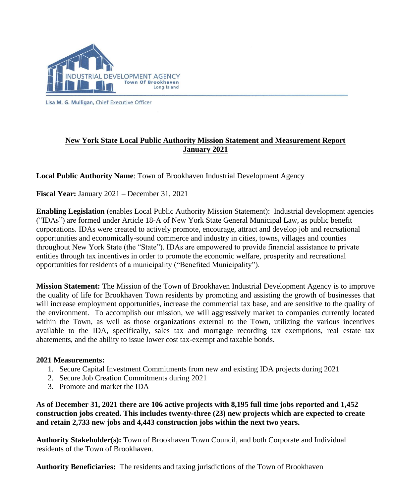

Lisa M. G. Mulligan, Chief Executive Officer

## **New York State Local Public Authority Mission Statement and Measurement Report January 2021**

**Local Public Authority Name**: Town of Brookhaven Industrial Development Agency

**Fiscal Year:** January 2021 – December 31, 2021

**Enabling Legislation** (enables Local Public Authority Mission Statement): Industrial development agencies ("IDAs") are formed under Article 18-A of New York State General Municipal Law, as public benefit corporations. IDAs were created to actively promote, encourage, attract and develop job and recreational opportunities and economically-sound commerce and industry in cities, towns, villages and counties throughout New York State (the "State"). IDAs are empowered to provide financial assistance to private entities through tax incentives in order to promote the economic welfare, prosperity and recreational opportunities for residents of a municipality ("Benefited Municipality").

**Mission Statement:** The Mission of the Town of Brookhaven Industrial Development Agency is to improve the quality of life for Brookhaven Town residents by promoting and assisting the growth of businesses that will increase employment opportunities, increase the commercial tax base, and are sensitive to the quality of the environment. To accomplish our mission, we will aggressively market to companies currently located within the Town, as well as those organizations external to the Town, utilizing the various incentives available to the IDA, specifically, sales tax and mortgage recording tax exemptions, real estate tax abatements, and the ability to issue lower cost tax-exempt and taxable bonds.

## **2021 Measurements:**

- 1. Secure Capital Investment Commitments from new and existing IDA projects during 2021
- 2. Secure Job Creation Commitments during 2021
- 3. Promote and market the IDA

**As of December 31, 2021 there are 106 active projects with 8,195 full time jobs reported and 1,452 construction jobs created. This includes twenty-three (23) new projects which are expected to create and retain 2,733 new jobs and 4,443 construction jobs within the next two years.**

**Authority Stakeholder(s):** Town of Brookhaven Town Council, and both Corporate and Individual residents of the Town of Brookhaven.

**Authority Beneficiaries:** The residents and taxing jurisdictions of the Town of Brookhaven